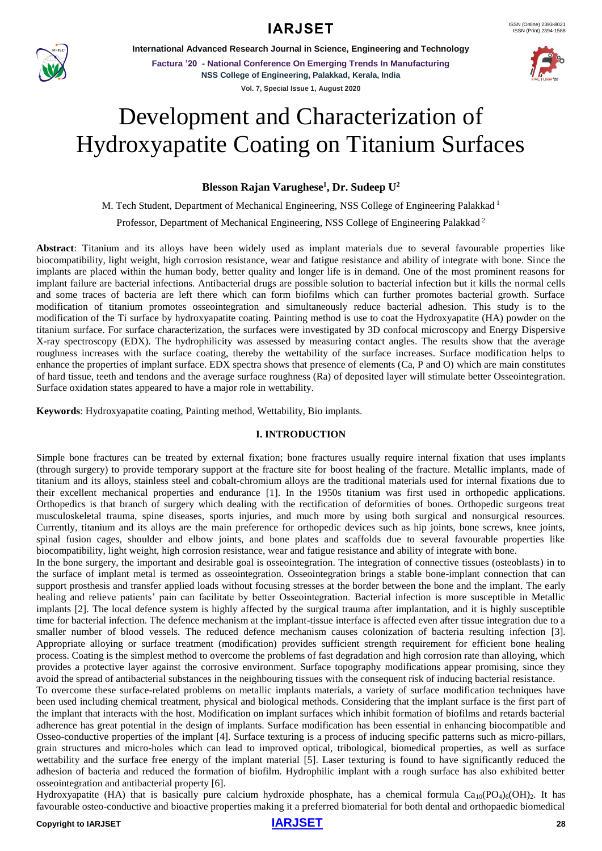

**International Advanced Research Journal in Science, Engineering and Technology**

**Factura '20 - National Conference On Emerging Trends In Manufacturing NSS College of Engineering, Palakkad, Kerala, India Vol. 7, Special Issue 1, August 2020**



# Development and Characterization of Hydroxyapatite Coating on Titanium Surfaces

**Blesson Rajan Varughese<sup>1</sup> , Dr. Sudeep U<sup>2</sup>**

M. Tech Student, Department of Mechanical Engineering, NSS College of Engineering Palakkad <sup>1</sup>

Professor, Department of Mechanical Engineering, NSS College of Engineering Palakkad <sup>2</sup>

**Abstract**: Titanium and its alloys have been widely used as implant materials due to several favourable properties like biocompatibility, light weight, high corrosion resistance, wear and fatigue resistance and ability of integrate with bone. Since the implants are placed within the human body, better quality and longer life is in demand. One of the most prominent reasons for implant failure are bacterial infections. Antibacterial drugs are possible solution to bacterial infection but it kills the normal cells and some traces of bacteria are left there which can form biofilms which can further promotes bacterial growth. Surface modification of titanium promotes osseointegration and simultaneously reduce bacterial adhesion. This study is to the modification of the Ti surface by hydroxyapatite coating. Painting method is use to coat the Hydroxyapatite (HA) powder on the titanium surface. For surface characterization, the surfaces were investigated by 3D confocal microscopy and Energy Dispersive X-ray spectroscopy (EDX). The hydrophilicity was assessed by measuring contact angles. The results show that the average roughness increases with the surface coating, thereby the wettability of the surface increases. Surface modification helps to enhance the properties of implant surface. EDX spectra shows that presence of elements (Ca, P and O) which are main constitutes of hard tissue, teeth and tendons and the average surface roughness (Ra) of deposited layer will stimulate better Osseointegration. Surface oxidation states appeared to have a major role in wettability.

**Keywords**: Hydroxyapatite coating, Painting method, Wettability, Bio implants.

#### **I. INTRODUCTION**

Simple bone fractures can be treated by external fixation; bone fractures usually require internal fixation that uses implants (through surgery) to provide temporary support at the fracture site for boost healing of the fracture. Metallic implants, made of titanium and its alloys, stainless steel and cobalt-chromium alloys are the traditional materials used for internal fixations due to their excellent mechanical properties and endurance [1]. In the 1950s titanium was first used in orthopedic applications. Orthopedics is that branch of surgery which dealing with the rectification of deformities of bones. Orthopedic surgeons treat musculoskeletal trauma, spine diseases, sports injuries, and much more by using both surgical and nonsurgical resources. Currently, titanium and its alloys are the main preference for orthopedic devices such as hip joints, bone screws, knee joints, spinal fusion cages, shoulder and elbow joints, and bone plates and scaffolds due to several favourable properties like biocompatibility, light weight, high corrosion resistance, wear and fatigue resistance and ability of integrate with bone.

In the bone surgery, the important and desirable goal is osseointegration. The integration of connective tissues (osteoblasts) in to the surface of implant metal is termed as osseointegration. Osseointegration brings a stable bone-implant connection that can support prosthesis and transfer applied loads without focusing stresses at the border between the bone and the implant. The early healing and relieve patients' pain can facilitate by better Osseointegration. Bacterial infection is more susceptible in Metallic implants [2]. The local defence system is highly affected by the surgical trauma after implantation, and it is highly susceptible time for bacterial infection. The defence mechanism at the implant-tissue interface is affected even after tissue integration due to a smaller number of blood vessels. The reduced defence mechanism causes colonization of bacteria resulting infection [3]. Appropriate alloying or surface treatment (modification) provides sufficient strength requirement for efficient bone healing process. Coating is the simplest method to overcome the problems of fast degradation and high corrosion rate than alloying, which provides a protective layer against the corrosive environment. Surface topography modifications appear promising, since they avoid the spread of antibacterial substances in the neighbouring tissues with the consequent risk of inducing bacterial resistance.

To overcome these surface-related problems on metallic implants materials, a variety of surface modification techniques have been used including chemical treatment, physical and biological methods. Considering that the implant surface is the first part of the implant that interacts with the host. Modification on implant surfaces which inhibit formation of biofilms and retards bacterial adherence has great potential in the design of implants. Surface modification has been essential in enhancing biocompatible and Osseo-conductive properties of the implant [4]. Surface texturing is a process of inducing specific patterns such as micro-pillars, grain structures and micro-holes which can lead to improved optical, tribological, biomedical properties, as well as surface wettability and the surface free energy of the implant material [5]. Laser texturing is found to have significantly reduced the adhesion of bacteria and reduced the formation of biofilm. Hydrophilic implant with a rough surface has also exhibited better osseointegration and antibacterial property [6].

Hydroxyapatite (HA) that is basically pure calcium hydroxide phosphate, has a chemical formula  $Ca_{10}(PO_4)_6(OH)_2$ . It has favourable osteo-conductive and bioactive properties making it a preferred biomaterial for both dental and orthopaedic biomedical

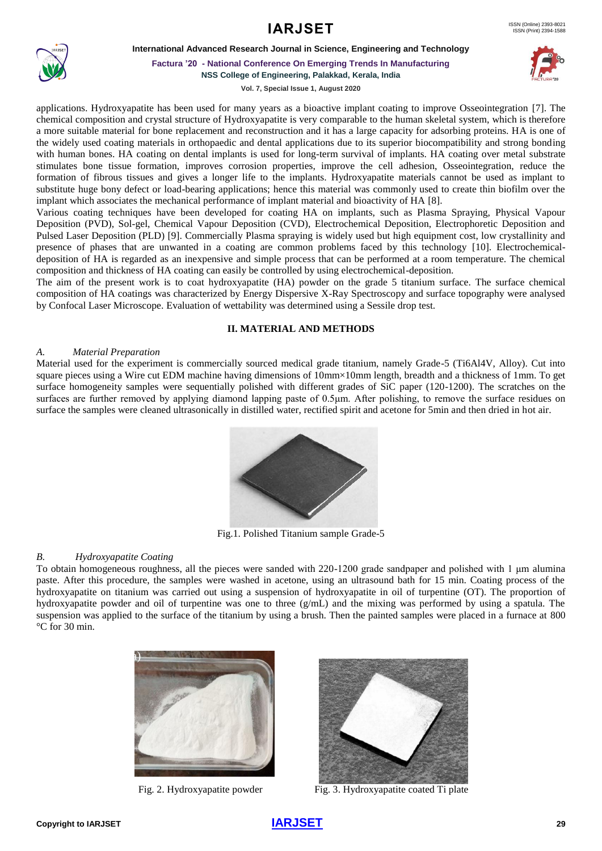#### **International Advanced Research Journal in Science, Engineering and Technology**



**Factura '20 - National Conference On Emerging Trends In Manufacturing NSS College of Engineering, Palakkad, Kerala, India**

**Vol. 7, Special Issue 1, August 2020**



applications. Hydroxyapatite has been used for many years as a bioactive implant coating to improve Osseointegration [7]. The chemical composition and crystal structure of Hydroxyapatite is very comparable to the human skeletal system, which is therefore a more suitable material for bone replacement and reconstruction and it has a large capacity for adsorbing proteins. HA is one of the widely used coating materials in orthopaedic and dental applications due to its superior biocompatibility and strong bonding with human bones. HA coating on dental implants is used for long-term survival of implants. HA coating over metal substrate stimulates bone tissue formation, improves corrosion properties, improve the cell adhesion, Osseointegration, reduce the formation of fibrous tissues and gives a longer life to the implants. Hydroxyapatite materials cannot be used as implant to substitute huge bony defect or load-bearing applications; hence this material was commonly used to create thin biofilm over the implant which associates the mechanical performance of implant material and bioactivity of HA [8].

Various coating techniques have been developed for coating HA on implants, such as Plasma Spraying, Physical Vapour Deposition (PVD), Sol-gel, Chemical Vapour Deposition (CVD), Electrochemical Deposition, Electrophoretic Deposition and Pulsed Laser Deposition (PLD) [9]. Commercially Plasma spraying is widely used but high equipment cost, low crystallinity and presence of phases that are unwanted in a coating are common problems faced by this technology [10]. Electrochemicaldeposition of HA is regarded as an inexpensive and simple process that can be performed at a room temperature. The chemical composition and thickness of HA coating can easily be controlled by using electrochemical-deposition.

The aim of the present work is to coat hydroxyapatite (HA) powder on the grade 5 titanium surface. The surface chemical composition of HA coatings was characterized by Energy Dispersive X-Ray Spectroscopy and surface topography were analysed by Confocal Laser Microscope. Evaluation of wettability was determined using a Sessile drop test.

## **II. MATERIAL AND METHODS**

#### *A. Material Preparation*

Material used for the experiment is commercially sourced medical grade titanium, namely Grade-5 (Ti6Al4V, Alloy). Cut into square pieces using a Wire cut EDM machine having dimensions of 10mm×10mm length, breadth and a thickness of 1mm. To get surface homogeneity samples were sequentially polished with different grades of SiC paper (120-1200). The scratches on the surfaces are further removed by applying diamond lapping paste of 0.5μm. After polishing, to remove the surface residues on surface the samples were cleaned ultrasonically in distilled water, rectified spirit and acetone for 5min and then dried in hot air.



Fig.1. Polished Titanium sample Grade-5

#### *B. Hydroxyapatite Coating*

To obtain homogeneous roughness, all the pieces were sanded with 220-1200 grade sandpaper and polished with 1 μm alumina paste. After this procedure, the samples were washed in acetone, using an ultrasound bath for 15 min. Coating process of the hydroxyapatite on titanium was carried out using a suspension of hydroxyapatite in oil of turpentine (OT). The proportion of hydroxyapatite powder and oil of turpentine was one to three (g/mL) and the mixing was performed by using a spatula. The suspension was applied to the surface of the titanium by using a brush. Then the painted samples were placed in a furnace at 800 °C for 30 min.





Fig. 2. Hydroxyapatite powder Fig. 3. Hydroxyapatite coated Ti plate

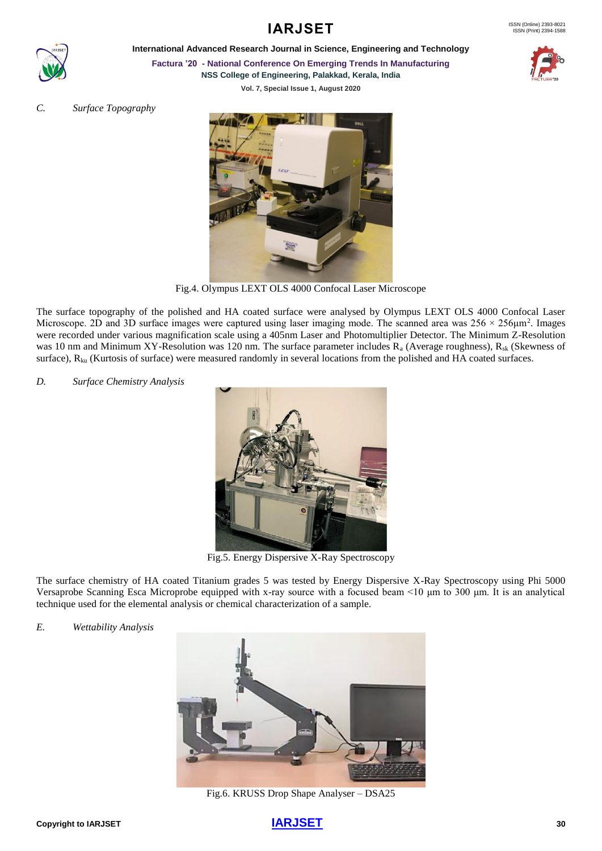

**IARJSET** 

**International Advanced Research Journal in Science, Engineering and Technology**



**Factura '20 - National Conference On Emerging Trends In Manufacturing**

**NSS College of Engineering, Palakkad, Kerala, India**

**Vol. 7, Special Issue 1, August 2020**

*C. Surface Topography*



Fig.4. Olympus LEXT OLS 4000 Confocal Laser Microscope

The surface topography of the polished and HA coated surface were analysed by Olympus LEXT OLS 4000 Confocal Laser Microscope. 2D and 3D surface images were captured using laser imaging mode. The scanned area was  $256 \times 256 \mu m^2$ . Images were recorded under various magnification scale using a 405nm Laser and Photomultiplier Detector. The Minimum Z-Resolution was 10 nm and Minimum XY-Resolution was 120 nm. The surface parameter includes R<sub>a</sub> (Average roughness), R<sub>sk</sub> (Skewness of surface),  $R_{ku}$  (Kurtosis of surface) were measured randomly in several locations from the polished and HA coated surfaces.

*D. Surface Chemistry Analysis*



Fig.5. Energy Dispersive X-Ray Spectroscopy

The surface chemistry of HA coated Titanium grades 5 was tested by Energy Dispersive X-Ray Spectroscopy using Phi 5000 Versaprobe Scanning Esca Microprobe equipped with x-ray source with a focused beam <10 μm to 300 μm. It is an analytical technique used for the elemental analysis or chemical characterization of a sample.

*E. Wettability Analysis*



Fig.6. KRUSS Drop Shape Analyser – DSA25

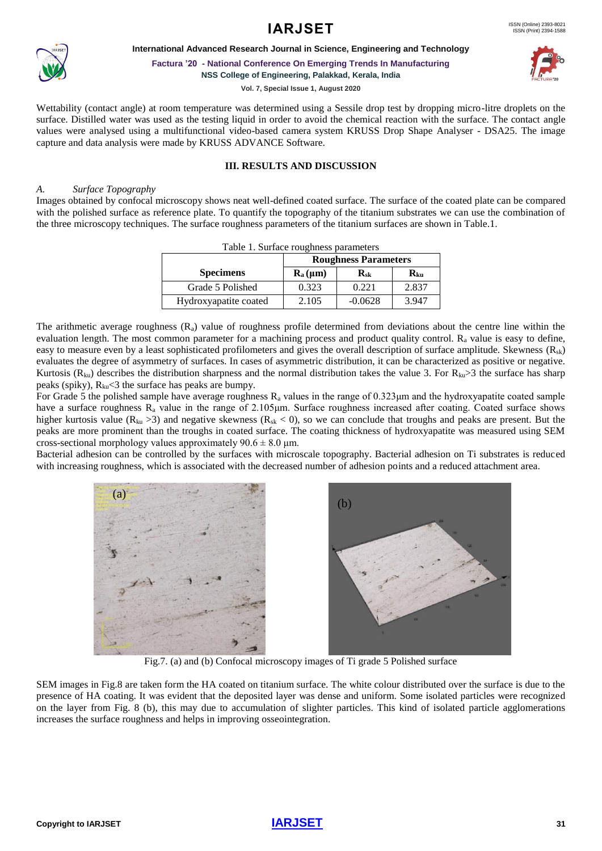



**International Advanced Research Journal in Science, Engineering and Technology**

**Factura '20 - National Conference On Emerging Trends In Manufacturing NSS College of Engineering, Palakkad, Kerala, India**

**Vol. 7, Special Issue 1, August 2020**



Wettability (contact angle) at room temperature was determined using a Sessile drop test by dropping micro-litre droplets on the surface. Distilled water was used as the testing liquid in order to avoid the chemical reaction with the surface. The contact angle values were analysed using a multifunctional video-based camera system KRUSS Drop Shape Analyser - DSA25. The image capture and data analysis were made by KRUSS ADVANCE Software.

## **III. RESULTS AND DISCUSSION**

#### *A. Surface Topography*

Images obtained by confocal microscopy shows neat well-defined coated surface. The surface of the coated plate can be compared with the polished surface as reference plate. To quantify the topography of the titanium substrates we can use the combination of the three microscopy techniques. The surface roughness parameters of the titanium surfaces are shown in Table.1.

| Table 1. Surface roughness parameters |                                                   |              |                                     |
|---------------------------------------|---------------------------------------------------|--------------|-------------------------------------|
|                                       | <b>Roughness Parameters</b>                       |              |                                     |
| <b>Specimens</b>                      | $\mathbf{R}_{\mathbf{a}}(\mathbf{\mu}\mathbf{m})$ | $R_{\rm sk}$ | $\mathbf{R}_{\mathbf{k}\mathbf{u}}$ |
| Grade 5 Polished                      | 0.323                                             | 0.221        | 2.837                               |
| Hydroxyapatite coated                 | 2.105                                             | $-0.0628$    | 3.947                               |

The arithmetic average roughness  $(R_a)$  value of roughness profile determined from deviations about the centre line within the evaluation length. The most common parameter for a machining process and product quality control.  $R_a$  value is easy to define, easy to measure even by a least sophisticated profilometers and gives the overall description of surface amplitude. Skewness (Rsk) evaluates the degree of asymmetry of surfaces. In cases of asymmetric distribution, it can be characterized as positive or negative. Kurtosis ( $R_{ku}$ ) describes the distribution sharpness and the normal distribution takes the value 3. For  $R_{ku}$  3 the surface has sharp peaks (spiky),  $R_{ku}$ <3 the surface has peaks are bumpy.

For Grade 5 the polished sample have average roughness  $R_a$  values in the range of 0.323 $\mu$ m and the hydroxyapatite coated sample have a surface roughness  $R_a$  value in the range of 2.105 $\mu$ m. Surface roughness increased after coating. Coated surface shows higher kurtosis value ( $R_{ku} > 3$ ) and negative skewness ( $R_{sk} < 0$ ), so we can conclude that troughs and peaks are present. But the peaks are more prominent than the troughs in coated surface. The coating thickness of hydroxyapatite was measured using SEM cross-sectional morphology values approximately  $90.6 \pm 8.0$  µm.

Bacterial adhesion can be controlled by the surfaces with microscale topography. Bacterial adhesion on Ti substrates is reduced with increasing roughness, which is associated with the decreased number of adhesion points and a reduced attachment area.



Fig.7. (a) and (b) Confocal microscopy images of Ti grade 5 Polished surface

SEM images in Fig.8 are taken form the HA coated on titanium surface. The white colour distributed over the surface is due to the presence of HA coating. It was evident that the deposited layer was dense and uniform. Some isolated particles were recognized on the layer from Fig. 8 (b), this may due to accumulation of slighter particles. This kind of isolated particle agglomerations increases the surface roughness and helps in improving osseointegration.

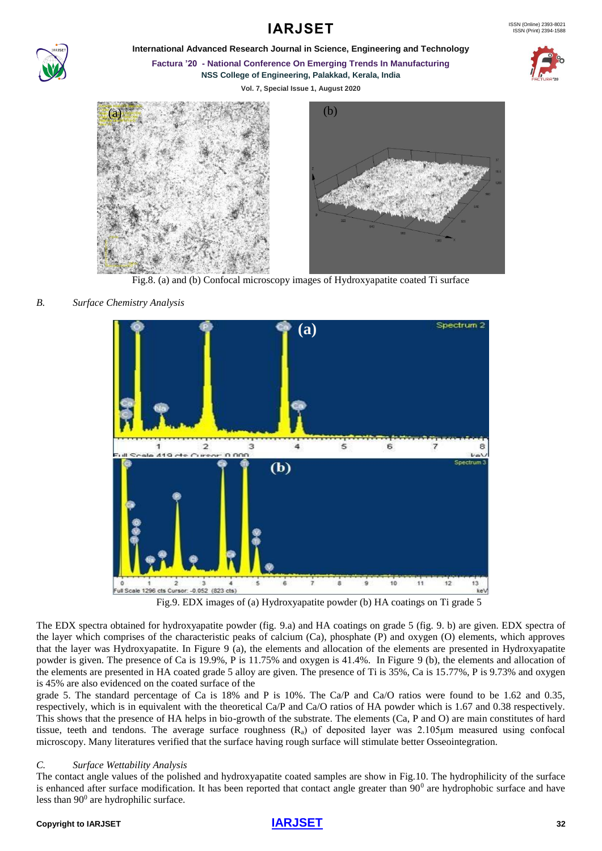

**International Advanced Research Journal in Science, Engineering and Technology**

**Factura '20 - National Conference On Emerging Trends In Manufacturing**

**NSS College of Engineering, Palakkad, Kerala, India**

**Vol. 7, Special Issue 1, August 2020**





Fig.8. (a) and (b) Confocal microscopy images of Hydroxyapatite coated Ti surface

# *B. Surface Chemistry Analysis*



Fig.9. EDX images of (a) Hydroxyapatite powder (b) HA coatings on Ti grade 5

The EDX spectra obtained for hydroxyapatite powder (fig. 9.a) and HA coatings on grade 5 (fig. 9. b) are given. EDX spectra of the layer which comprises of the characteristic peaks of calcium (Ca), phosphate (P) and oxygen (O) elements, which approves that the layer was Hydroxyapatite. In Figure 9 (a), the elements and allocation of the elements are presented in Hydroxyapatite powder is given. The presence of Ca is 19.9%, P is 11.75% and oxygen is 41.4%. In Figure 9 (b), the elements and allocation of the elements are presented in HA coated grade 5 alloy are given. The presence of Ti is 35%, Ca is 15.77%, P is 9.73% and oxygen is 45% are also evidenced on the coated surface of the

grade 5. The standard percentage of Ca is 18% and P is 10%. The Ca/P and Ca/O ratios were found to be 1.62 and 0.35, respectively, which is in equivalent with the theoretical Ca/P and Ca/O ratios of HA powder which is 1.67 and 0.38 respectively. This shows that the presence of HA helps in bio-growth of the substrate. The elements (Ca, P and O) are main constitutes of hard tissue, teeth and tendons. The average surface roughness  $(R_a)$  of deposited layer was 2.105 $\mu$ m measured using confocal microscopy. Many literatures verified that the surface having rough surface will stimulate better Osseointegration.

## *C. Surface Wettability Analysis*

The contact angle values of the polished and hydroxyapatite coated samples are show in Fig.10. The hydrophilicity of the surface is enhanced after surface modification. It has been reported that contact angle greater than  $90^\circ$  are hydrophobic surface and have less than 90<sup>0</sup> are hydrophilic surface.

### **Copyright to IARJSET [IARJSET](https://iarjset.com/)<sup>32</sup>**